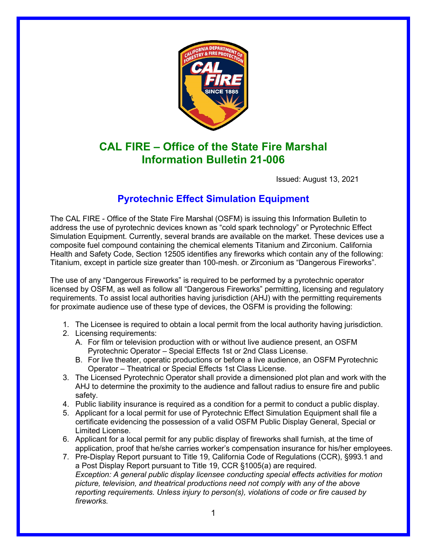

## **CAL FIRE – Office of the State Fire Marshal Information Bulletin 21-006**

Issued: August 13, 2021

## **Pyrotechnic Effect Simulation Equipment**

The CAL FIRE - Office of the State Fire Marshal (OSFM) is issuing this Information Bulletin to address the use of pyrotechnic devices known as "cold spark technology" or Pyrotechnic Effect Simulation Equipment. Currently, several brands are available on the market. These devices use a composite fuel compound containing the chemical elements Titanium and Zirconium. California Health and Safety Code, Section 12505 identifies any fireworks which contain any of the following: Titanium, except in particle size greater than 100-mesh. or Zirconium as "Dangerous Fireworks".

The use of any "Dangerous Fireworks" is required to be performed by a pyrotechnic operator licensed by OSFM, as well as follow all "Dangerous Fireworks" permitting, licensing and regulatory requirements. To assist local authorities having jurisdiction (AHJ) with the permitting requirements for proximate audience use of these type of devices, the OSFM is providing the following:

- 1. The Licensee is required to obtain a local permit from the local authority having jurisdiction.
- 2. Licensing requirements:
	- A. For film or television production with or without live audience present, an OSFM Pyrotechnic Operator – Special Effects 1st or 2nd Class License.
	- B. For live theater, operatic productions or before a live audience, an OSFM Pyrotechnic Operator – Theatrical or Special Effects 1st Class License.
- 3. The Licensed Pyrotechnic Operator shall provide a dimensioned plot plan and work with the AHJ to determine the proximity to the audience and fallout radius to ensure fire and public safety.
- 4. Public liability insurance is required as a condition for a permit to conduct a public display.
- 5. Applicant for a local permit for use of Pyrotechnic Effect Simulation Equipment shall file a certificate evidencing the possession of a valid OSFM Public Display General, Special or Limited License.
- 6. Applicant for a local permit for any public display of fireworks shall furnish, at the time of application, proof that he/she carries worker's compensation insurance for his/her employees.
- 7. Pre-Display Report pursuant to Title 19, California Code of Regulations (CCR), §993.1 and a Post Display Report pursuant to Title 19, CCR §1005(a) are required. *Exception: A general public display licensee conducting special effects activities for motion picture, television, and theatrical productions need not comply with any of the above reporting requirements. Unless injury to person(s), violations of code or fire caused by fireworks.*